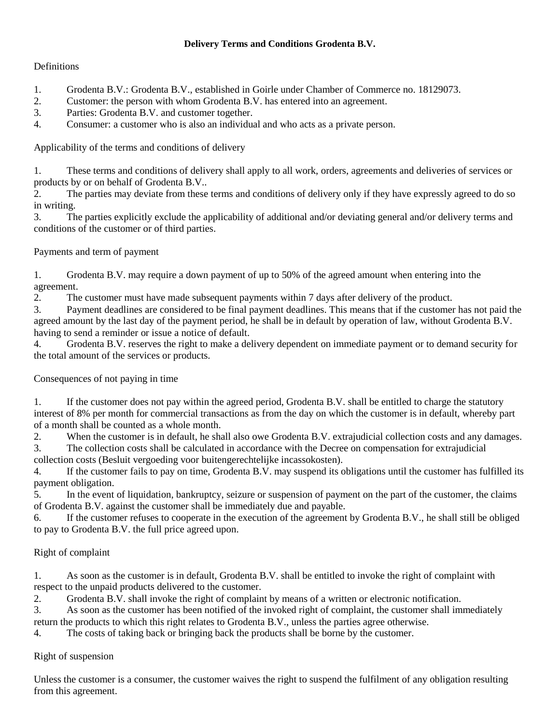### **Delivery Terms and Conditions Grodenta B.V.**

## **Definitions**

- 1. Grodenta B.V.: Grodenta B.V., established in Goirle under Chamber of Commerce no. 18129073.
- 2. Customer: the person with whom Grodenta B.V. has entered into an agreement.
- 3. Parties: Grodenta B.V. and customer together.
- 4. Consumer: a customer who is also an individual and who acts as a private person.

Applicability of the terms and conditions of delivery

1. These terms and conditions of delivery shall apply to all work, orders, agreements and deliveries of services or products by or on behalf of Grodenta B.V..

2. The parties may deviate from these terms and conditions of delivery only if they have expressly agreed to do so in writing.

3. The parties explicitly exclude the applicability of additional and/or deviating general and/or delivery terms and conditions of the customer or of third parties.

Payments and term of payment

1. Grodenta B.V. may require a down payment of up to 50% of the agreed amount when entering into the agreement.

2. The customer must have made subsequent payments within 7 days after delivery of the product.

3. Payment deadlines are considered to be final payment deadlines. This means that if the customer has not paid the agreed amount by the last day of the payment period, he shall be in default by operation of law, without Grodenta B.V. having to send a reminder or issue a notice of default.

4. Grodenta B.V. reserves the right to make a delivery dependent on immediate payment or to demand security for the total amount of the services or products.

Consequences of not paying in time

1. If the customer does not pay within the agreed period, Grodenta B.V. shall be entitled to charge the statutory interest of 8% per month for commercial transactions as from the day on which the customer is in default, whereby part of a month shall be counted as a whole month.

2. When the customer is in default, he shall also owe Grodenta B.V. extrajudicial collection costs and any damages.

3. The collection costs shall be calculated in accordance with the Decree on compensation for extrajudicial collection costs (Besluit vergoeding voor buitengerechtelijke incassokosten).

4. If the customer fails to pay on time, Grodenta B.V. may suspend its obligations until the customer has fulfilled its payment obligation.

5. In the event of liquidation, bankruptcy, seizure or suspension of payment on the part of the customer, the claims of Grodenta B.V. against the customer shall be immediately due and payable.

6. If the customer refuses to cooperate in the execution of the agreement by Grodenta B.V., he shall still be obliged to pay to Grodenta B.V. the full price agreed upon.

# Right of complaint

1. As soon as the customer is in default, Grodenta B.V. shall be entitled to invoke the right of complaint with respect to the unpaid products delivered to the customer.

2. Grodenta B.V. shall invoke the right of complaint by means of a written or electronic notification.

3. As soon as the customer has been notified of the invoked right of complaint, the customer shall immediately return the products to which this right relates to Grodenta B.V., unless the parties agree otherwise.

4. The costs of taking back or bringing back the products shall be borne by the customer.

Right of suspension

Unless the customer is a consumer, the customer waives the right to suspend the fulfilment of any obligation resulting from this agreement.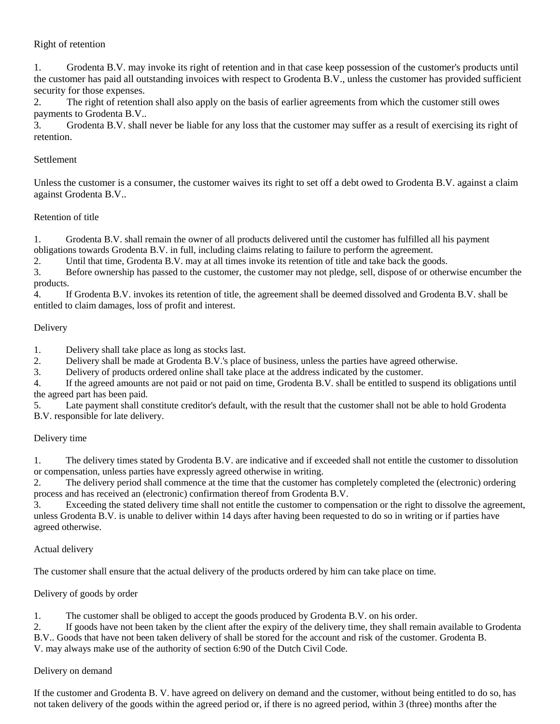## Right of retention

1. Grodenta B.V. may invoke its right of retention and in that case keep possession of the customer's products until the customer has paid all outstanding invoices with respect to Grodenta B.V., unless the customer has provided sufficient security for those expenses.

2. The right of retention shall also apply on the basis of earlier agreements from which the customer still owes payments to Grodenta B.V..

3. Grodenta B.V. shall never be liable for any loss that the customer may suffer as a result of exercising its right of retention.

#### **Settlement**

Unless the customer is a consumer, the customer waives its right to set off a debt owed to Grodenta B.V. against a claim against Grodenta B.V..

#### Retention of title

1. Grodenta B.V. shall remain the owner of all products delivered until the customer has fulfilled all his payment obligations towards Grodenta B.V. in full, including claims relating to failure to perform the agreement.

2. Until that time, Grodenta B.V. may at all times invoke its retention of title and take back the goods.

3. Before ownership has passed to the customer, the customer may not pledge, sell, dispose of or otherwise encumber the products.

4. If Grodenta B.V. invokes its retention of title, the agreement shall be deemed dissolved and Grodenta B.V. shall be entitled to claim damages, loss of profit and interest.

#### Delivery

1. Delivery shall take place as long as stocks last.

2. Delivery shall be made at Grodenta B.V.'s place of business, unless the parties have agreed otherwise.

3. Delivery of products ordered online shall take place at the address indicated by the customer.

4. If the agreed amounts are not paid or not paid on time, Grodenta B.V. shall be entitled to suspend its obligations until the agreed part has been paid.

5. Late payment shall constitute creditor's default, with the result that the customer shall not be able to hold Grodenta B.V. responsible for late delivery.

#### Delivery time

1. The delivery times stated by Grodenta B.V. are indicative and if exceeded shall not entitle the customer to dissolution or compensation, unless parties have expressly agreed otherwise in writing.

2. The delivery period shall commence at the time that the customer has completely completed the (electronic) ordering process and has received an (electronic) confirmation thereof from Grodenta B.V.

3. Exceeding the stated delivery time shall not entitle the customer to compensation or the right to dissolve the agreement, unless Grodenta B.V. is unable to deliver within 14 days after having been requested to do so in writing or if parties have agreed otherwise.

#### Actual delivery

The customer shall ensure that the actual delivery of the products ordered by him can take place on time.

#### Delivery of goods by order

1. The customer shall be obliged to accept the goods produced by Grodenta B.V. on his order.

2. If goods have not been taken by the client after the expiry of the delivery time, they shall remain available to Grodenta

B.V.. Goods that have not been taken delivery of shall be stored for the account and risk of the customer. Grodenta B.

V. may always make use of the authority of section 6:90 of the Dutch Civil Code.

#### Delivery on demand

If the customer and Grodenta B. V. have agreed on delivery on demand and the customer, without being entitled to do so, has not taken delivery of the goods within the agreed period or, if there is no agreed period, within 3 (three) months after the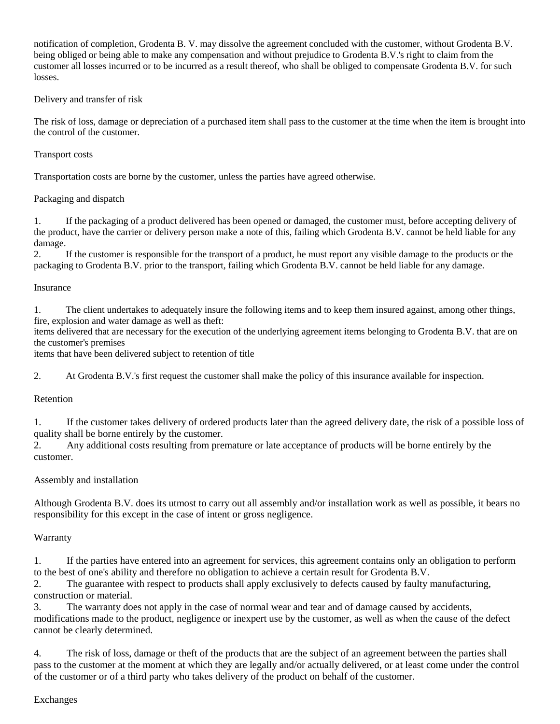notification of completion, Grodenta B. V. may dissolve the agreement concluded with the customer, without Grodenta B.V. being obliged or being able to make any compensation and without prejudice to Grodenta B.V.'s right to claim from the customer all losses incurred or to be incurred as a result thereof, who shall be obliged to compensate Grodenta B.V. for such losses.

### Delivery and transfer of risk

The risk of loss, damage or depreciation of a purchased item shall pass to the customer at the time when the item is brought into the control of the customer.

#### Transport costs

Transportation costs are borne by the customer, unless the parties have agreed otherwise.

### Packaging and dispatch

1. If the packaging of a product delivered has been opened or damaged, the customer must, before accepting delivery of the product, have the carrier or delivery person make a note of this, failing which Grodenta B.V. cannot be held liable for any damage.

2. If the customer is responsible for the transport of a product, he must report any visible damage to the products or the packaging to Grodenta B.V. prior to the transport, failing which Grodenta B.V. cannot be held liable for any damage.

#### Insurance

1. The client undertakes to adequately insure the following items and to keep them insured against, among other things, fire, explosion and water damage as well as theft:

items delivered that are necessary for the execution of the underlying agreement items belonging to Grodenta B.V. that are on the customer's premises

items that have been delivered subject to retention of title

2. At Grodenta B.V.'s first request the customer shall make the policy of this insurance available for inspection.

#### Retention

1. If the customer takes delivery of ordered products later than the agreed delivery date, the risk of a possible loss of quality shall be borne entirely by the customer.

2. Any additional costs resulting from premature or late acceptance of products will be borne entirely by the customer.

#### Assembly and installation

Although Grodenta B.V. does its utmost to carry out all assembly and/or installation work as well as possible, it bears no responsibility for this except in the case of intent or gross negligence.

#### **Warranty**

1. If the parties have entered into an agreement for services, this agreement contains only an obligation to perform to the best of one's ability and therefore no obligation to achieve a certain result for Grodenta B.V.

2. The guarantee with respect to products shall apply exclusively to defects caused by faulty manufacturing, construction or material.

3. The warranty does not apply in the case of normal wear and tear and of damage caused by accidents, modifications made to the product, negligence or inexpert use by the customer, as well as when the cause of the defect cannot be clearly determined.

4. The risk of loss, damage or theft of the products that are the subject of an agreement between the parties shall pass to the customer at the moment at which they are legally and/or actually delivered, or at least come under the control of the customer or of a third party who takes delivery of the product on behalf of the customer.

Exchanges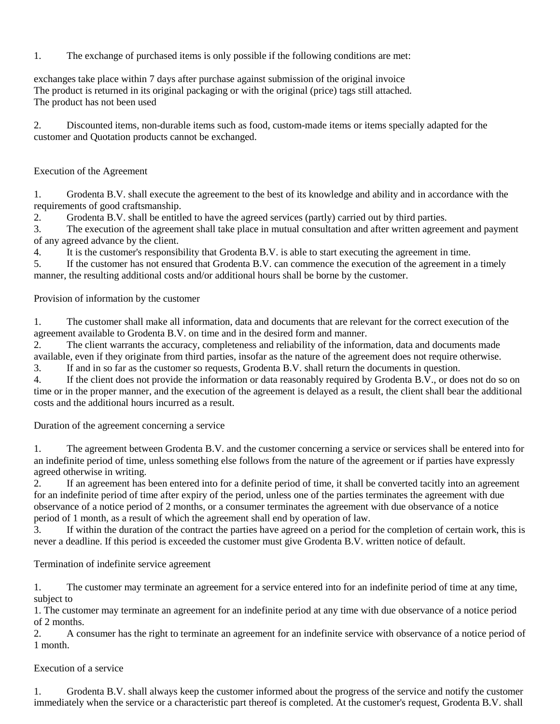1. The exchange of purchased items is only possible if the following conditions are met:

exchanges take place within 7 days after purchase against submission of the original invoice The product is returned in its original packaging or with the original (price) tags still attached. The product has not been used

2. Discounted items, non-durable items such as food, custom-made items or items specially adapted for the customer and Quotation products cannot be exchanged.

### Execution of the Agreement

1. Grodenta B.V. shall execute the agreement to the best of its knowledge and ability and in accordance with the requirements of good craftsmanship.

2. Grodenta B.V. shall be entitled to have the agreed services (partly) carried out by third parties.

3. The execution of the agreement shall take place in mutual consultation and after written agreement and payment of any agreed advance by the client.

4. It is the customer's responsibility that Grodenta B.V. is able to start executing the agreement in time.

5. If the customer has not ensured that Grodenta B.V. can commence the execution of the agreement in a timely manner, the resulting additional costs and/or additional hours shall be borne by the customer.

Provision of information by the customer

1. The customer shall make all information, data and documents that are relevant for the correct execution of the agreement available to Grodenta B.V. on time and in the desired form and manner.

2. The client warrants the accuracy, completeness and reliability of the information, data and documents made

available, even if they originate from third parties, insofar as the nature of the agreement does not require otherwise.

3. If and in so far as the customer so requests, Grodenta B.V. shall return the documents in question.

4. If the client does not provide the information or data reasonably required by Grodenta B.V., or does not do so on time or in the proper manner, and the execution of the agreement is delayed as a result, the client shall bear the additional costs and the additional hours incurred as a result.

Duration of the agreement concerning a service

1. The agreement between Grodenta B.V. and the customer concerning a service or services shall be entered into for an indefinite period of time, unless something else follows from the nature of the agreement or if parties have expressly agreed otherwise in writing.

2. If an agreement has been entered into for a definite period of time, it shall be converted tacitly into an agreement for an indefinite period of time after expiry of the period, unless one of the parties terminates the agreement with due observance of a notice period of 2 months, or a consumer terminates the agreement with due observance of a notice period of 1 month, as a result of which the agreement shall end by operation of law.

3. If within the duration of the contract the parties have agreed on a period for the completion of certain work, this is never a deadline. If this period is exceeded the customer must give Grodenta B.V. written notice of default.

Termination of indefinite service agreement

1. The customer may terminate an agreement for a service entered into for an indefinite period of time at any time, subject to

1. The customer may terminate an agreement for an indefinite period at any time with due observance of a notice period of 2 months.

2. A consumer has the right to terminate an agreement for an indefinite service with observance of a notice period of 1 month.

## Execution of a service

1. Grodenta B.V. shall always keep the customer informed about the progress of the service and notify the customer immediately when the service or a characteristic part thereof is completed. At the customer's request, Grodenta B.V. shall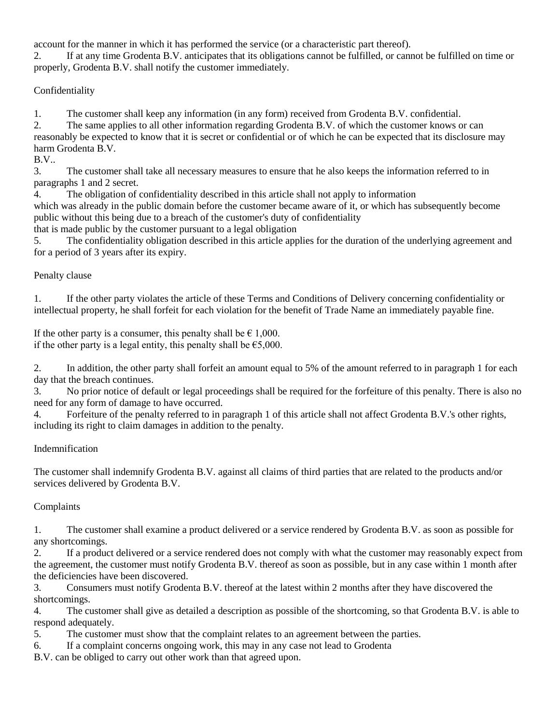account for the manner in which it has performed the service (or a characteristic part thereof).

2. If at any time Grodenta B.V. anticipates that its obligations cannot be fulfilled, or cannot be fulfilled on time or properly, Grodenta B.V. shall notify the customer immediately.

Confidentiality

1. The customer shall keep any information (in any form) received from Grodenta B.V. confidential.

2. The same applies to all other information regarding Grodenta B.V. of which the customer knows or can reasonably be expected to know that it is secret or confidential or of which he can be expected that its disclosure may harm Grodenta B.V.

B.V..

3. The customer shall take all necessary measures to ensure that he also keeps the information referred to in paragraphs 1 and 2 secret.

4. The obligation of confidentiality described in this article shall not apply to information

which was already in the public domain before the customer became aware of it, or which has subsequently become public without this being due to a breach of the customer's duty of confidentiality

that is made public by the customer pursuant to a legal obligation

5. The confidentiality obligation described in this article applies for the duration of the underlying agreement and for a period of 3 years after its expiry.

# Penalty clause

1. If the other party violates the article of these Terms and Conditions of Delivery concerning confidentiality or intellectual property, he shall forfeit for each violation for the benefit of Trade Name an immediately payable fine.

If the other party is a consumer, this penalty shall be  $\epsilon$  1,000. if the other party is a legal entity, this penalty shall be  $\epsilon$ 5,000.

2. In addition, the other party shall forfeit an amount equal to 5% of the amount referred to in paragraph 1 for each day that the breach continues.

3. No prior notice of default or legal proceedings shall be required for the forfeiture of this penalty. There is also no need for any form of damage to have occurred.

4. Forfeiture of the penalty referred to in paragraph 1 of this article shall not affect Grodenta B.V.'s other rights, including its right to claim damages in addition to the penalty.

# Indemnification

The customer shall indemnify Grodenta B.V. against all claims of third parties that are related to the products and/or services delivered by Grodenta B.V.

# Complaints

1. The customer shall examine a product delivered or a service rendered by Grodenta B.V. as soon as possible for any shortcomings.

2. If a product delivered or a service rendered does not comply with what the customer may reasonably expect from the agreement, the customer must notify Grodenta B.V. thereof as soon as possible, but in any case within 1 month after the deficiencies have been discovered.

3. Consumers must notify Grodenta B.V. thereof at the latest within 2 months after they have discovered the shortcomings.

4. The customer shall give as detailed a description as possible of the shortcoming, so that Grodenta B.V. is able to respond adequately.

5. The customer must show that the complaint relates to an agreement between the parties.

6. If a complaint concerns ongoing work, this may in any case not lead to Grodenta

B.V. can be obliged to carry out other work than that agreed upon.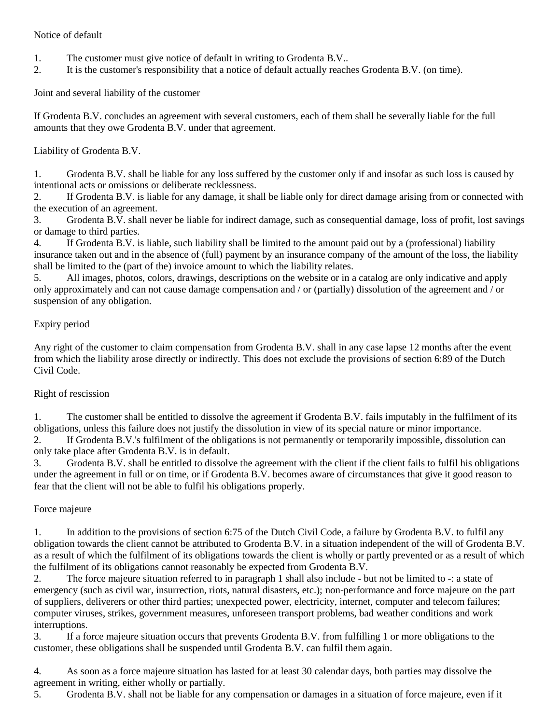### Notice of default

- 1. The customer must give notice of default in writing to Grodenta B.V..
- 2. It is the customer's responsibility that a notice of default actually reaches Grodenta B.V. (on time).

Joint and several liability of the customer

If Grodenta B.V. concludes an agreement with several customers, each of them shall be severally liable for the full amounts that they owe Grodenta B.V. under that agreement.

Liability of Grodenta B.V.

1. Grodenta B.V. shall be liable for any loss suffered by the customer only if and insofar as such loss is caused by intentional acts or omissions or deliberate recklessness.

2. If Grodenta B.V. is liable for any damage, it shall be liable only for direct damage arising from or connected with the execution of an agreement.

3. Grodenta B.V. shall never be liable for indirect damage, such as consequential damage, loss of profit, lost savings or damage to third parties.

4. If Grodenta B.V. is liable, such liability shall be limited to the amount paid out by a (professional) liability insurance taken out and in the absence of (full) payment by an insurance company of the amount of the loss, the liability shall be limited to the (part of the) invoice amount to which the liability relates.

5. All images, photos, colors, drawings, descriptions on the website or in a catalog are only indicative and apply only approximately and can not cause damage compensation and / or (partially) dissolution of the agreement and / or suspension of any obligation.

## Expiry period

Any right of the customer to claim compensation from Grodenta B.V. shall in any case lapse 12 months after the event from which the liability arose directly or indirectly. This does not exclude the provisions of section 6:89 of the Dutch Civil Code.

## Right of rescission

1. The customer shall be entitled to dissolve the agreement if Grodenta B.V. fails imputably in the fulfilment of its obligations, unless this failure does not justify the dissolution in view of its special nature or minor importance.

2. If Grodenta B.V.'s fulfilment of the obligations is not permanently or temporarily impossible, dissolution can only take place after Grodenta B.V. is in default.

3. Grodenta B.V. shall be entitled to dissolve the agreement with the client if the client fails to fulfil his obligations under the agreement in full or on time, or if Grodenta B.V. becomes aware of circumstances that give it good reason to fear that the client will not be able to fulfil his obligations properly.

## Force majeure

1. In addition to the provisions of section 6:75 of the Dutch Civil Code, a failure by Grodenta B.V. to fulfil any obligation towards the client cannot be attributed to Grodenta B.V. in a situation independent of the will of Grodenta B.V. as a result of which the fulfilment of its obligations towards the client is wholly or partly prevented or as a result of which the fulfilment of its obligations cannot reasonably be expected from Grodenta B.V.

2. The force majeure situation referred to in paragraph 1 shall also include - but not be limited to -: a state of emergency (such as civil war, insurrection, riots, natural disasters, etc.); non-performance and force majeure on the part of suppliers, deliverers or other third parties; unexpected power, electricity, internet, computer and telecom failures; computer viruses, strikes, government measures, unforeseen transport problems, bad weather conditions and work interruptions.

3. If a force majeure situation occurs that prevents Grodenta B.V. from fulfilling 1 or more obligations to the customer, these obligations shall be suspended until Grodenta B.V. can fulfil them again.

4. As soon as a force majeure situation has lasted for at least 30 calendar days, both parties may dissolve the agreement in writing, either wholly or partially.

5. Grodenta B.V. shall not be liable for any compensation or damages in a situation of force majeure, even if it